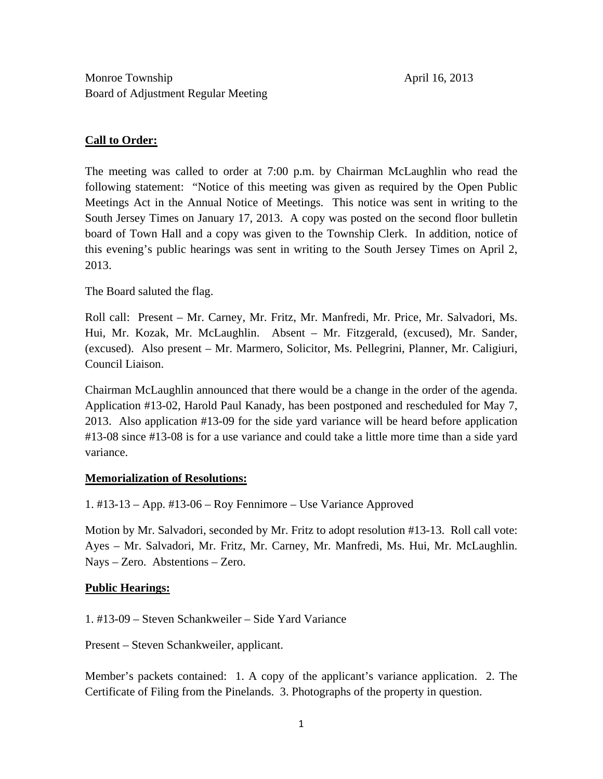## **Call to Order:**

The meeting was called to order at 7:00 p.m. by Chairman McLaughlin who read the following statement: "Notice of this meeting was given as required by the Open Public Meetings Act in the Annual Notice of Meetings. This notice was sent in writing to the South Jersey Times on January 17, 2013. A copy was posted on the second floor bulletin board of Town Hall and a copy was given to the Township Clerk. In addition, notice of this evening's public hearings was sent in writing to the South Jersey Times on April 2, 2013.

The Board saluted the flag.

Roll call: Present – Mr. Carney, Mr. Fritz, Mr. Manfredi, Mr. Price, Mr. Salvadori, Ms. Hui, Mr. Kozak, Mr. McLaughlin. Absent – Mr. Fitzgerald, (excused), Mr. Sander, (excused). Also present – Mr. Marmero, Solicitor, Ms. Pellegrini, Planner, Mr. Caligiuri, Council Liaison.

Chairman McLaughlin announced that there would be a change in the order of the agenda. Application #13-02, Harold Paul Kanady, has been postponed and rescheduled for May 7, 2013. Also application #13-09 for the side yard variance will be heard before application #13-08 since #13-08 is for a use variance and could take a little more time than a side yard variance.

#### **Memorialization of Resolutions:**

1. #13-13 – App. #13-06 – Roy Fennimore – Use Variance Approved

Motion by Mr. Salvadori, seconded by Mr. Fritz to adopt resolution #13-13. Roll call vote: Ayes – Mr. Salvadori, Mr. Fritz, Mr. Carney, Mr. Manfredi, Ms. Hui, Mr. McLaughlin. Nays – Zero. Abstentions – Zero.

#### **Public Hearings:**

1. #13-09 – Steven Schankweiler – Side Yard Variance

Present – Steven Schankweiler, applicant.

Member's packets contained: 1. A copy of the applicant's variance application. 2. The Certificate of Filing from the Pinelands. 3. Photographs of the property in question.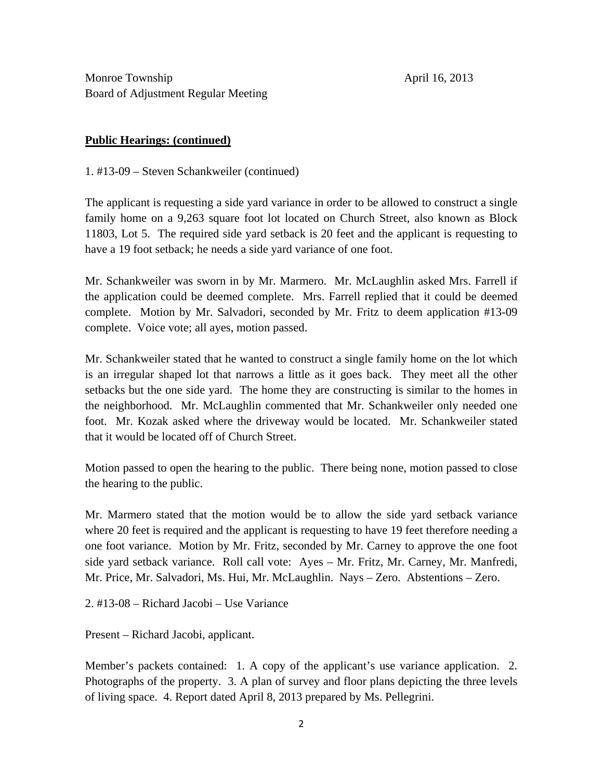Monroe Township April 16, 2013 Board of Adjustment Regular Meeting

## **Public Hearings: (continued)**

1. #13-09 – Steven Schankweiler (continued)

The applicant is requesting a side yard variance in order to be allowed to construct a single family home on a 9,263 square foot lot located on Church Street, also known as Block 11803, Lot 5. The required side yard setback is 20 feet and the applicant is requesting to have a 19 foot setback; he needs a side yard variance of one foot.

Mr. Schankweiler was sworn in by Mr. Marmero. Mr. McLaughlin asked Mrs. Farrell if the application could be deemed complete. Mrs. Farrell replied that it could be deemed complete. Motion by Mr. Salvadori, seconded by Mr. Fritz to deem application #13-09 complete. Voice vote; all ayes, motion passed.

Mr. Schankweiler stated that he wanted to construct a single family home on the lot which is an irregular shaped lot that narrows a little as it goes back. They meet all the other setbacks but the one side yard. The home they are constructing is similar to the homes in the neighborhood. Mr. McLaughlin commented that Mr. Schankweiler only needed one foot. Mr. Kozak asked where the driveway would be located. Mr. Schankweiler stated that it would be located off of Church Street.

Motion passed to open the hearing to the public. There being none, motion passed to close the hearing to the public.

Mr. Marmero stated that the motion would be to allow the side yard setback variance where 20 feet is required and the applicant is requesting to have 19 feet therefore needing a one foot variance. Motion by Mr. Fritz, seconded by Mr. Carney to approve the one foot side yard setback variance. Roll call vote: Ayes – Mr. Fritz, Mr. Carney, Mr. Manfredi, Mr. Price, Mr. Salvadori, Ms. Hui, Mr. McLaughlin. Nays – Zero. Abstentions – Zero.

2. #13-08 – Richard Jacobi – Use Variance

Present – Richard Jacobi, applicant.

Member's packets contained: 1. A copy of the applicant's use variance application. 2. Photographs of the property. 3. A plan of survey and floor plans depicting the three levels of living space. 4. Report dated April 8, 2013 prepared by Ms. Pellegrini.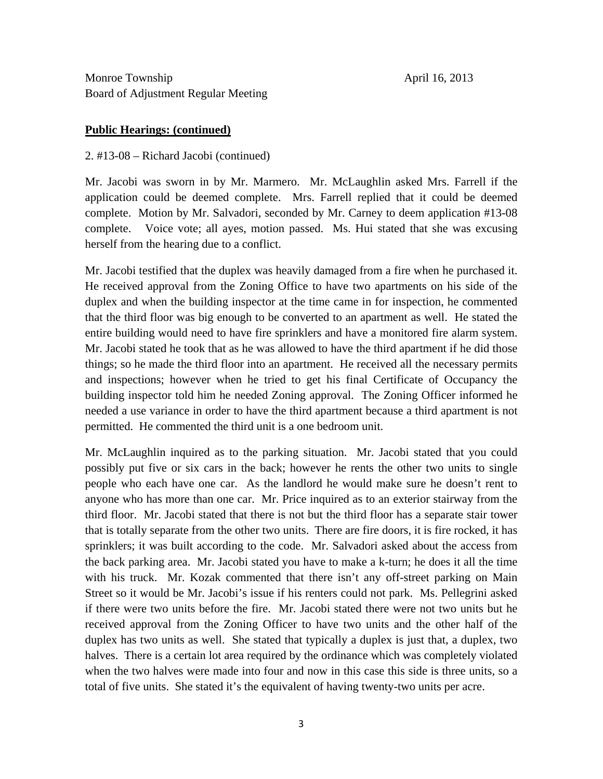Monroe Township April 16, 2013 Board of Adjustment Regular Meeting

#### **Public Hearings: (continued)**

### 2. #13-08 – Richard Jacobi (continued)

Mr. Jacobi was sworn in by Mr. Marmero. Mr. McLaughlin asked Mrs. Farrell if the application could be deemed complete. Mrs. Farrell replied that it could be deemed complete. Motion by Mr. Salvadori, seconded by Mr. Carney to deem application #13-08 complete. Voice vote; all ayes, motion passed. Ms. Hui stated that she was excusing herself from the hearing due to a conflict.

Mr. Jacobi testified that the duplex was heavily damaged from a fire when he purchased it. He received approval from the Zoning Office to have two apartments on his side of the duplex and when the building inspector at the time came in for inspection, he commented that the third floor was big enough to be converted to an apartment as well. He stated the entire building would need to have fire sprinklers and have a monitored fire alarm system. Mr. Jacobi stated he took that as he was allowed to have the third apartment if he did those things; so he made the third floor into an apartment. He received all the necessary permits and inspections; however when he tried to get his final Certificate of Occupancy the building inspector told him he needed Zoning approval. The Zoning Officer informed he needed a use variance in order to have the third apartment because a third apartment is not permitted. He commented the third unit is a one bedroom unit.

Mr. McLaughlin inquired as to the parking situation. Mr. Jacobi stated that you could possibly put five or six cars in the back; however he rents the other two units to single people who each have one car. As the landlord he would make sure he doesn't rent to anyone who has more than one car. Mr. Price inquired as to an exterior stairway from the third floor. Mr. Jacobi stated that there is not but the third floor has a separate stair tower that is totally separate from the other two units. There are fire doors, it is fire rocked, it has sprinklers; it was built according to the code. Mr. Salvadori asked about the access from the back parking area. Mr. Jacobi stated you have to make a k-turn; he does it all the time with his truck. Mr. Kozak commented that there isn't any off-street parking on Main Street so it would be Mr. Jacobi's issue if his renters could not park. Ms. Pellegrini asked if there were two units before the fire. Mr. Jacobi stated there were not two units but he received approval from the Zoning Officer to have two units and the other half of the duplex has two units as well. She stated that typically a duplex is just that, a duplex, two halves. There is a certain lot area required by the ordinance which was completely violated when the two halves were made into four and now in this case this side is three units, so a total of five units. She stated it's the equivalent of having twenty-two units per acre.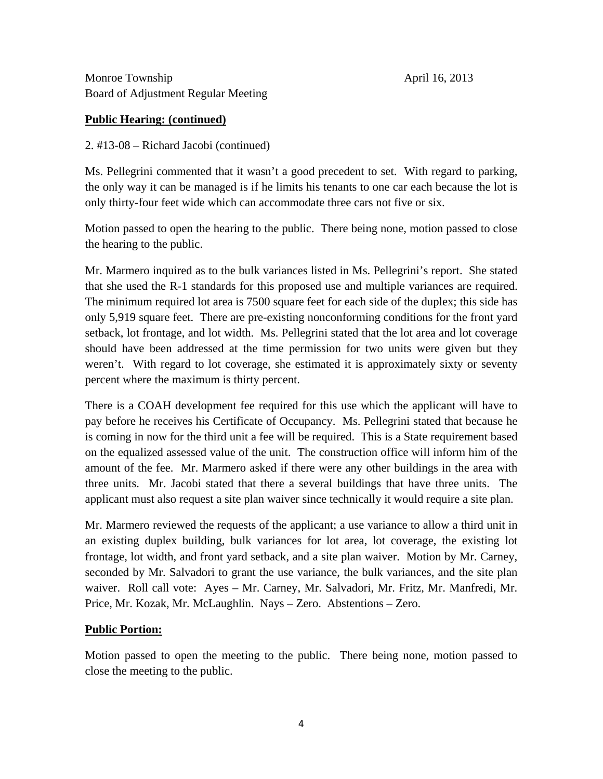Monroe Township April 16, 2013 Board of Adjustment Regular Meeting

## **Public Hearing: (continued)**

2. #13-08 – Richard Jacobi (continued)

Ms. Pellegrini commented that it wasn't a good precedent to set. With regard to parking, the only way it can be managed is if he limits his tenants to one car each because the lot is only thirty-four feet wide which can accommodate three cars not five or six.

Motion passed to open the hearing to the public. There being none, motion passed to close the hearing to the public.

Mr. Marmero inquired as to the bulk variances listed in Ms. Pellegrini's report. She stated that she used the R-1 standards for this proposed use and multiple variances are required. The minimum required lot area is 7500 square feet for each side of the duplex; this side has only 5,919 square feet. There are pre-existing nonconforming conditions for the front yard setback, lot frontage, and lot width. Ms. Pellegrini stated that the lot area and lot coverage should have been addressed at the time permission for two units were given but they weren't. With regard to lot coverage, she estimated it is approximately sixty or seventy percent where the maximum is thirty percent.

There is a COAH development fee required for this use which the applicant will have to pay before he receives his Certificate of Occupancy. Ms. Pellegrini stated that because he is coming in now for the third unit a fee will be required. This is a State requirement based on the equalized assessed value of the unit. The construction office will inform him of the amount of the fee. Mr. Marmero asked if there were any other buildings in the area with three units. Mr. Jacobi stated that there a several buildings that have three units. The applicant must also request a site plan waiver since technically it would require a site plan.

Mr. Marmero reviewed the requests of the applicant; a use variance to allow a third unit in an existing duplex building, bulk variances for lot area, lot coverage, the existing lot frontage, lot width, and front yard setback, and a site plan waiver. Motion by Mr. Carney, seconded by Mr. Salvadori to grant the use variance, the bulk variances, and the site plan waiver. Roll call vote: Ayes – Mr. Carney, Mr. Salvadori, Mr. Fritz, Mr. Manfredi, Mr. Price, Mr. Kozak, Mr. McLaughlin. Nays – Zero. Abstentions – Zero.

# **Public Portion:**

Motion passed to open the meeting to the public. There being none, motion passed to close the meeting to the public.